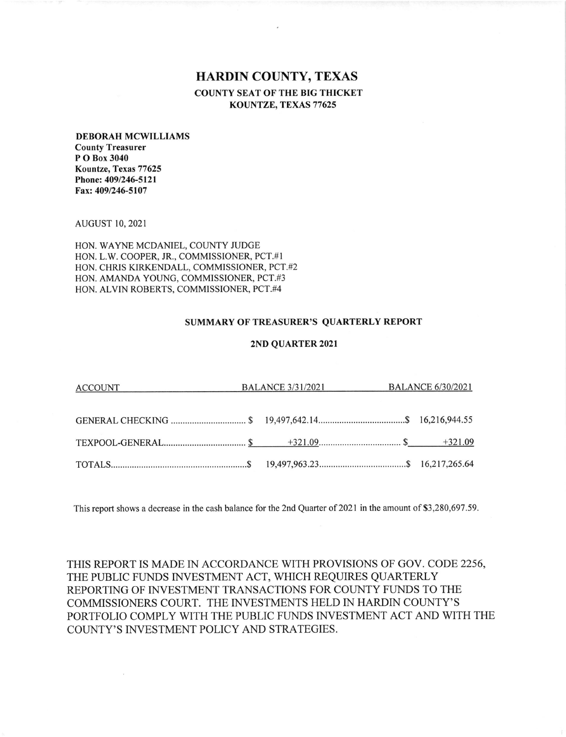## HARDIN COUNTY, TEXAS COUNTY SEAT OF THE BIG THICKET KOUNTZE, TEXAS 77625

## DEBORAH MCWILLIAMS County Treasurer P O Box 3040 Kountze, Texas 77625 Phone: 409/246-5121

AUGUST IO,2O2I

Fax: 409/246-5107

HON. WAYNE MCDANIEL, COUNTY JUDGE HON. L.W. COOPER, JR., COMMISSIONER, PCT.#I HON. CHRIS KIRKENDALL, COMMISSIONER, PCT.#2 HON. AMANDA YOUNG, COMMISSIONER, PCT.#3 HON. ALVIN ROBERTS, COMMISSIONER, PCT.#4

## SUMMARY OF TREASURER'S QUARTERLY REPORT

## 2ND QUARTER 2021

| ACCOUNT BALANCE 3/31/2021 BALANCE 6/30/2021 |  |  |  |  |  |
|---------------------------------------------|--|--|--|--|--|
|                                             |  |  |  |  |  |
|                                             |  |  |  |  |  |
|                                             |  |  |  |  |  |

This report shows a decrease in the cash balance for the 2nd Quarter of 2021 in the amount of \$3,280,697.59

THIS REPORT IS MADE IN ACCORDANCE WITH PROVISIONS OF GOV. CODE 2256, THE PUBLIC FUNDS INVESTMENT ACT, WHICH REQUIRES QUARTERLY REPORTING OF INVESTMENT TRANSACTIONS FOR COUNTY FUNDS TO THE COMMISSIONERS COURT. THE INVESTMENTS HELD IN HARDIN COUNTY'S PORTFOLIO COMPLY WITH THE PUBLIC FUNDS INVESTMENT ACT AND WITH THE COUNTY'S INVESTMENT POLICY AND STRATEGIES.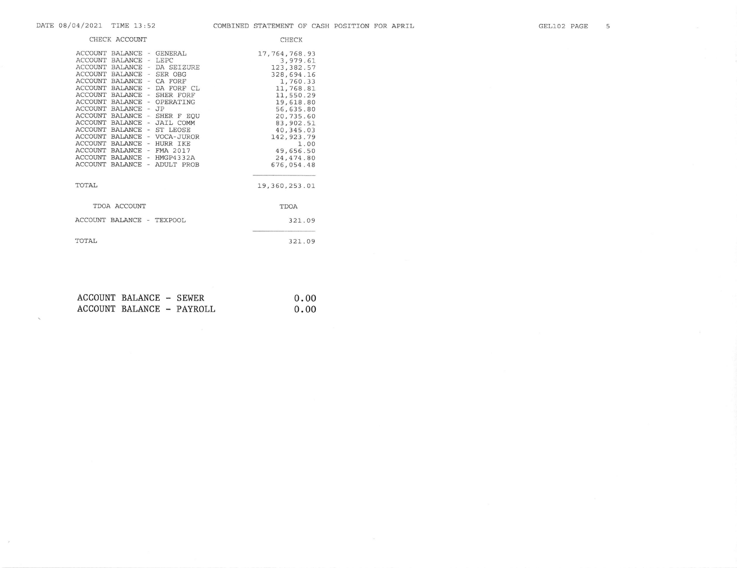$\mathcal{N}$ 

 $\mathcal{F}$ 

|                                                                                         | CHECK ACCOUNT                                                 |                                                                                                                                                                                                                                                                                                                                                                                                                                   | CHECK                                                                                                                                                                                                                             |
|-----------------------------------------------------------------------------------------|---------------------------------------------------------------|-----------------------------------------------------------------------------------------------------------------------------------------------------------------------------------------------------------------------------------------------------------------------------------------------------------------------------------------------------------------------------------------------------------------------------------|-----------------------------------------------------------------------------------------------------------------------------------------------------------------------------------------------------------------------------------|
| <b>ACCOUNT</b><br><b>ACCOUNT</b><br><b>ACCOUNT</b><br>ACCOUNT BALANCE<br><b>ACCOUNT</b> | BALANCE - LEPC<br>BALANCE<br><b>BALANCE</b><br><b>BALANCE</b> | ACCOUNT BALANCE - GENERAL<br>- DA SEIZURE<br>- SER OBG<br>ACCOUNT BALANCE - CA FORF<br>- DA FORF CL<br>ACCOUNT BALANCE - SHER FORF<br>ACCOUNT BALANCE - OPERATING<br>- JP<br>ACCOUNT BALANCE - SHER F EQU<br>ACCOUNT BALANCE - JAIL COMM<br>ACCOUNT BALANCE - ST LEOSE<br>ACCOUNT BALANCE - VOCA-JUROR<br>ACCOUNT BALANCE - HURR IKE<br>ACCOUNT BALANCE - FMA 2017<br>ACCOUNT BALANCE - HMGP4332A<br>ACCOUNT BALANCE - ADULT PROB | 17, 764, 768.93<br>3,979.61<br>123, 382.57<br>328,694.16<br>1,760.33<br>11,768.81<br>11,550.29<br>19,618.80<br>56,635.80<br>20,735.60<br>83,902.51<br>40, 345.03<br>142, 923. 79<br>1.00<br>49.656.50<br>24, 474.80<br>676,054.48 |
| TOTAL                                                                                   |                                                               |                                                                                                                                                                                                                                                                                                                                                                                                                                   | 19,360,253.01                                                                                                                                                                                                                     |
|                                                                                         | TDOA ACCOUNT                                                  |                                                                                                                                                                                                                                                                                                                                                                                                                                   | TDOA                                                                                                                                                                                                                              |
| ACCOUNT BALANCE -                                                                       |                                                               | <b>TEXPOOL</b>                                                                                                                                                                                                                                                                                                                                                                                                                    | 321.09                                                                                                                                                                                                                            |
| TOTAL                                                                                   |                                                               |                                                                                                                                                                                                                                                                                                                                                                                                                                   | 321.09                                                                                                                                                                                                                            |

| ACCOUNT BALANCE - SEWER |                           | 0.00 |
|-------------------------|---------------------------|------|
|                         | ACCOUNT BALANCE - PAYROLL | 0.00 |